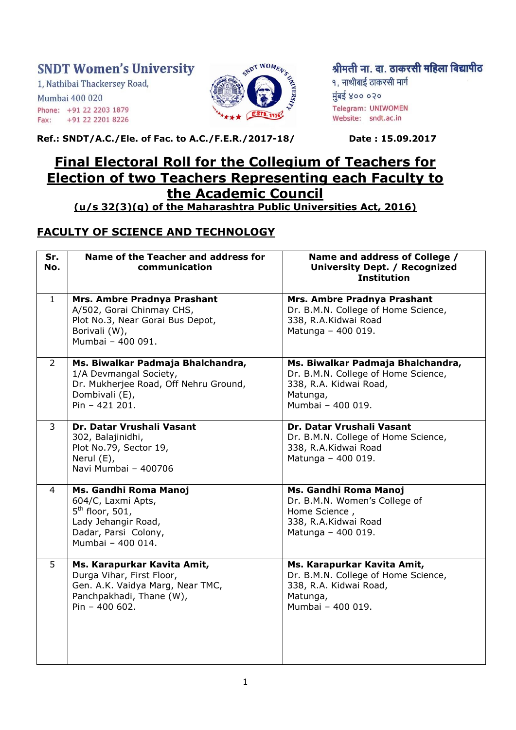## **SNDT Women's University**

1. Nathibai Thackersey Road, Mumbai 400 020 Phone: +91 22 2203 1879 Fax: +91 22 2201 8226



## श्रीमती ना. वा. ठाकरसी महिला विद्यापीठ

१. नाथीबाई ठाकरसी मार्ग मंबई ४०० ०२० Telegram: UNIWOMEN Website: sndt.ac.in

**Ref.: SNDT/A.C./Ele. of Fac. to A.C./F.E.R./2017-18/ Date : 15.09.2017**

## **Final Electoral Roll for the Collegium of Teachers for Election of two Teachers Representing each Faculty to the Academic Council (u/s 32(3)(g) of the Maharashtra Public Universities Act, 2016)**

## **FACULTY OF SCIENCE AND TECHNOLOGY**

| Sr.<br>No.     | Name of the Teacher and address for<br>communication                                                                                       | Name and address of College /<br><b>University Dept. / Recognized</b><br><b>Institution</b>                                         |
|----------------|--------------------------------------------------------------------------------------------------------------------------------------------|-------------------------------------------------------------------------------------------------------------------------------------|
| $\mathbf{1}$   | Mrs. Ambre Pradnya Prashant<br>A/502, Gorai Chinmay CHS,<br>Plot No.3, Near Gorai Bus Depot,<br>Borivali (W),<br>Mumbai - 400 091.         | Mrs. Ambre Pradnya Prashant<br>Dr. B.M.N. College of Home Science,<br>338, R.A.Kidwai Road<br>Matunga - 400 019.                    |
| $\overline{2}$ | Ms. Biwalkar Padmaja Bhalchandra,<br>1/A Devmangal Society,<br>Dr. Mukherjee Road, Off Nehru Ground,<br>Dombivali (E),<br>Pin - 421 201.   | Ms. Biwalkar Padmaja Bhalchandra,<br>Dr. B.M.N. College of Home Science,<br>338, R.A. Kidwai Road,<br>Matunga,<br>Mumbai - 400 019. |
| 3              | Dr. Datar Vrushali Vasant<br>302, Balajinidhi,<br>Plot No.79, Sector 19,<br>Nerul (E),<br>Navi Mumbai - 400706                             | Dr. Datar Vrushali Vasant<br>Dr. B.M.N. College of Home Science,<br>338, R.A.Kidwai Road<br>Matunga - 400 019.                      |
| 4              | Ms. Gandhi Roma Manoj<br>604/C, Laxmi Apts,<br>$5th$ floor, 501,<br>Lady Jehangir Road,<br>Dadar, Parsi Colony,<br>Mumbai - 400 014.       | Ms. Gandhi Roma Manoj<br>Dr. B.M.N. Women's College of<br>Home Science,<br>338, R.A.Kidwai Road<br>Matunga - 400 019.               |
| 5              | Ms. Karapurkar Kavita Amit,<br>Durga Vihar, First Floor,<br>Gen. A.K. Vaidya Marg, Near TMC,<br>Panchpakhadi, Thane (W),<br>Pin - 400 602. | Ms. Karapurkar Kavita Amit,<br>Dr. B.M.N. College of Home Science,<br>338, R.A. Kidwai Road,<br>Matunga,<br>Mumbai - 400 019.       |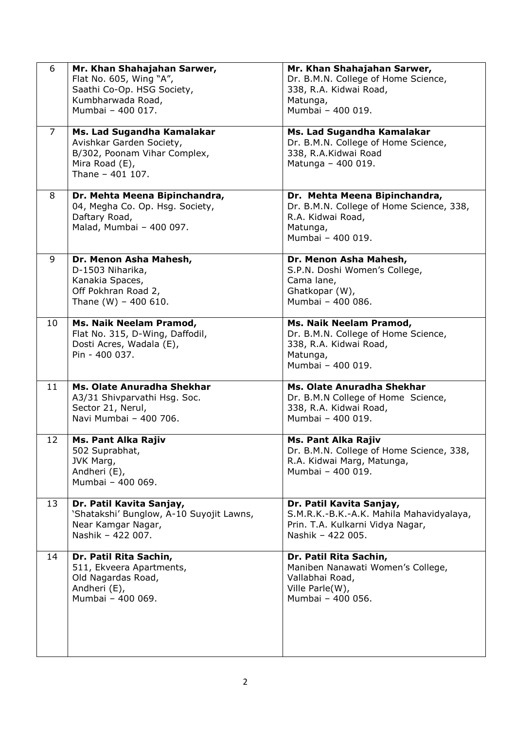| 6              | Mr. Khan Shahajahan Sarwer,<br>Flat No. 605, Wing "A",<br>Saathi Co-Op. HSG Society,<br>Kumbharwada Road,<br>Mumbai - 400 017. | Mr. Khan Shahajahan Sarwer,<br>Dr. B.M.N. College of Home Science,<br>338, R.A. Kidwai Road,<br>Matunga,<br>Mumbai - 400 019.   |
|----------------|--------------------------------------------------------------------------------------------------------------------------------|---------------------------------------------------------------------------------------------------------------------------------|
| $\overline{7}$ | Ms. Lad Sugandha Kamalakar<br>Avishkar Garden Society,<br>B/302, Poonam Vihar Complex,<br>Mira Road (E),<br>Thane $-401$ 107.  | Ms. Lad Sugandha Kamalakar<br>Dr. B.M.N. College of Home Science,<br>338, R.A.Kidwai Road<br>Matunga - 400 019.                 |
| 8              | Dr. Mehta Meena Bipinchandra,<br>04, Megha Co. Op. Hsg. Society,<br>Daftary Road,<br>Malad, Mumbai - 400 097.                  | Dr. Mehta Meena Bipinchandra,<br>Dr. B.M.N. College of Home Science, 338,<br>R.A. Kidwai Road,<br>Matunga,<br>Mumbai - 400 019. |
| 9              | Dr. Menon Asha Mahesh,<br>D-1503 Niharika,<br>Kanakia Spaces,<br>Off Pokhran Road 2,<br>Thane (W) - 400 610.                   | Dr. Menon Asha Mahesh,<br>S.P.N. Doshi Women's College,<br>Cama lane,<br>Ghatkopar (W),<br>Mumbai - 400 086.                    |
| 10             | Ms. Naik Neelam Pramod,<br>Flat No. 315, D-Wing, Daffodil,<br>Dosti Acres, Wadala (E),<br>Pin - 400 037.                       | Ms. Naik Neelam Pramod,<br>Dr. B.M.N. College of Home Science,<br>338, R.A. Kidwai Road,<br>Matunga,<br>Mumbai - 400 019.       |
| 11             | Ms. Olate Anuradha Shekhar<br>A3/31 Shivparvathi Hsg. Soc.<br>Sector 21, Nerul,<br>Navi Mumbai - 400 706.                      | Ms. Olate Anuradha Shekhar<br>Dr. B.M.N College of Home Science,<br>338, R.A. Kidwai Road,<br>Mumbai - 400 019.                 |
| 12             | <b>Ms. Pant Alka Rajiv</b><br>502 Suprabhat,<br>JVK Marg,<br>Andheri (E),<br>Mumbai - 400 069.                                 | <b>Ms. Pant Alka Rajiv</b><br>Dr. B.M.N. College of Home Science, 338,<br>R.A. Kidwai Marg, Matunga,<br>Mumbai - 400 019.       |
| 13             | Dr. Patil Kavita Sanjay,<br>'Shatakshi' Bunglow, A-10 Suyojit Lawns,<br>Near Kamgar Nagar,<br>Nashik - 422 007.                | Dr. Patil Kavita Sanjay,<br>S.M.R.K.-B.K.-A.K. Mahila Mahavidyalaya,<br>Prin. T.A. Kulkarni Vidya Nagar,<br>Nashik - 422 005.   |
| 14             | Dr. Patil Rita Sachin,<br>511, Ekveera Apartments,<br>Old Nagardas Road,<br>Andheri (E),<br>Mumbai - 400 069.                  | Dr. Patil Rita Sachin,<br>Maniben Nanawati Women's College,<br>Vallabhai Road,<br>Ville Parle(W),<br>Mumbai - 400 056.          |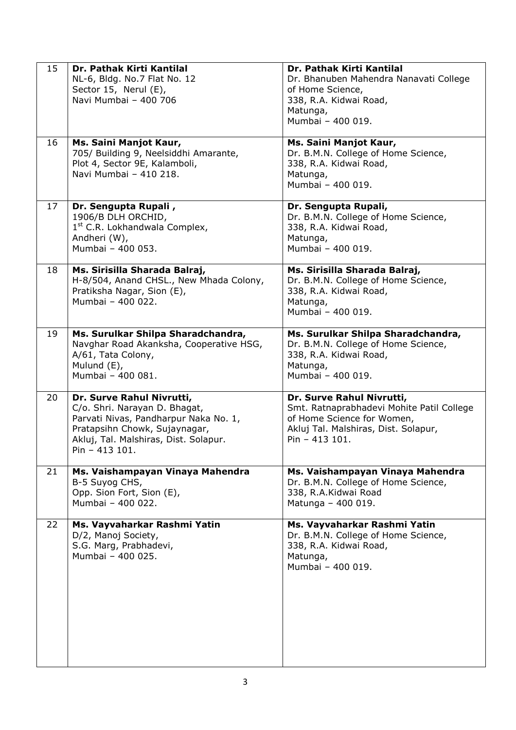| 15 | Dr. Pathak Kirti Kantilal               | Dr. Pathak Kirti Kantilal                 |
|----|-----------------------------------------|-------------------------------------------|
|    | NL-6, Bldg. No.7 Flat No. 12            | Dr. Bhanuben Mahendra Nanavati College    |
|    | Sector 15, Nerul (E),                   | of Home Science,                          |
|    | Navi Mumbai - 400 706                   | 338, R.A. Kidwai Road,                    |
|    |                                         | Matunga,                                  |
|    |                                         | Mumbai - 400 019.                         |
| 16 | Ms. Saini Manjot Kaur,                  | Ms. Saini Manjot Kaur,                    |
|    | 705/ Building 9, Neelsiddhi Amarante,   | Dr. B.M.N. College of Home Science,       |
|    | Plot 4, Sector 9E, Kalamboli,           | 338, R.A. Kidwai Road,                    |
|    | Navi Mumbai - 410 218.                  | Matunga,                                  |
|    |                                         | Mumbai - 400 019.                         |
| 17 | Dr. Sengupta Rupali,                    | Dr. Sengupta Rupali,                      |
|    | 1906/B DLH ORCHID,                      | Dr. B.M.N. College of Home Science,       |
|    | $1st$ C.R. Lokhandwala Complex,         | 338, R.A. Kidwai Road,                    |
|    | Andheri (W),                            | Matunga,                                  |
|    | Mumbai - 400 053.                       | Mumbai - 400 019.                         |
| 18 | Ms. Sirisilla Sharada Balraj,           | Ms. Sirisilla Sharada Balraj,             |
|    | H-8/504, Anand CHSL., New Mhada Colony, | Dr. B.M.N. College of Home Science,       |
|    | Pratiksha Nagar, Sion (E),              | 338, R.A. Kidwai Road,                    |
|    | Mumbai - 400 022.                       | Matunga,                                  |
|    |                                         | Mumbai - 400 019.                         |
| 19 | Ms. Surulkar Shilpa Sharadchandra,      | Ms. Surulkar Shilpa Sharadchandra,        |
|    | Navghar Road Akanksha, Cooperative HSG, | Dr. B.M.N. College of Home Science,       |
|    | A/61, Tata Colony,                      | 338, R.A. Kidwai Road,                    |
|    | Mulund (E),                             | Matunga,                                  |
|    | Mumbai - 400 081.                       | Mumbai - 400 019.                         |
| 20 | Dr. Surve Rahul Nivrutti,               | Dr. Surve Rahul Nivrutti,                 |
|    | C/o. Shri. Narayan D. Bhagat,           | Smt. Ratnaprabhadevi Mohite Patil College |
|    | Parvati Nivas, Pandharpur Naka No. 1,   | of Home Science for Women,                |
|    | Pratapsihn Chowk, Sujaynagar,           | Akluj Tal. Malshiras, Dist. Solapur,      |
|    | Akluj, Tal. Malshiras, Dist. Solapur.   | $Pin - 413101.$                           |
|    | Pin - 413 101.                          |                                           |
| 21 | Ms. Vaishampayan Vinaya Mahendra        | Ms. Vaishampayan Vinaya Mahendra          |
|    | B-5 Suyog CHS,                          | Dr. B.M.N. College of Home Science,       |
|    | Opp. Sion Fort, Sion (E),               | 338, R.A.Kidwai Road                      |
|    | Mumbai - 400 022.                       | Matunga - 400 019.                        |
| 22 | Ms. Vayvaharkar Rashmi Yatin            | Ms. Vayvaharkar Rashmi Yatin              |
|    | D/2, Manoj Society,                     | Dr. B.M.N. College of Home Science,       |
|    | S.G. Marg, Prabhadevi,                  | 338, R.A. Kidwai Road,                    |
|    | Mumbai - 400 025.                       | Matunga,                                  |
|    |                                         | Mumbai - 400 019.                         |
|    |                                         |                                           |
|    |                                         |                                           |
|    |                                         |                                           |
|    |                                         |                                           |
|    |                                         |                                           |
|    |                                         |                                           |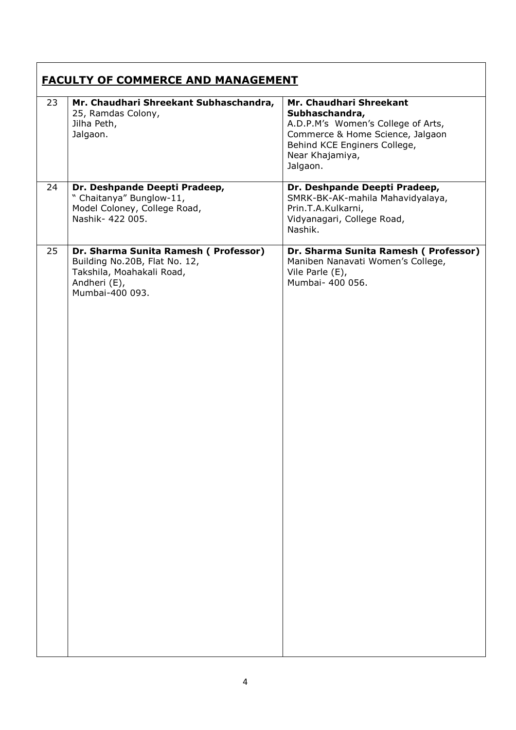| <b>FACULTY OF COMMERCE AND MANAGEMENT</b> |                                                                                                                                       |                                                                                                                                                                                    |
|-------------------------------------------|---------------------------------------------------------------------------------------------------------------------------------------|------------------------------------------------------------------------------------------------------------------------------------------------------------------------------------|
| 23                                        | Mr. Chaudhari Shreekant Subhaschandra,<br>25, Ramdas Colony,<br>Jilha Peth,<br>Jalgaon.                                               | Mr. Chaudhari Shreekant<br>Subhaschandra,<br>A.D.P.M's Women's College of Arts,<br>Commerce & Home Science, Jalgaon<br>Behind KCE Enginers College,<br>Near Khajamiya,<br>Jalgaon. |
| 24                                        | Dr. Deshpande Deepti Pradeep,<br>" Chaitanya" Bunglow-11,<br>Model Coloney, College Road,<br>Nashik- 422 005.                         | Dr. Deshpande Deepti Pradeep,<br>SMRK-BK-AK-mahila Mahavidyalaya,<br>Prin.T.A.Kulkarni,<br>Vidyanagari, College Road,<br>Nashik.                                                   |
| 25                                        | Dr. Sharma Sunita Ramesh (Professor)<br>Building No.20B, Flat No. 12,<br>Takshila, Moahakali Road,<br>Andheri (E),<br>Mumbai-400 093. | Dr. Sharma Sunita Ramesh (Professor)<br>Maniben Nanavati Women's College,<br>Vile Parle (E),<br>Mumbai- 400 056.                                                                   |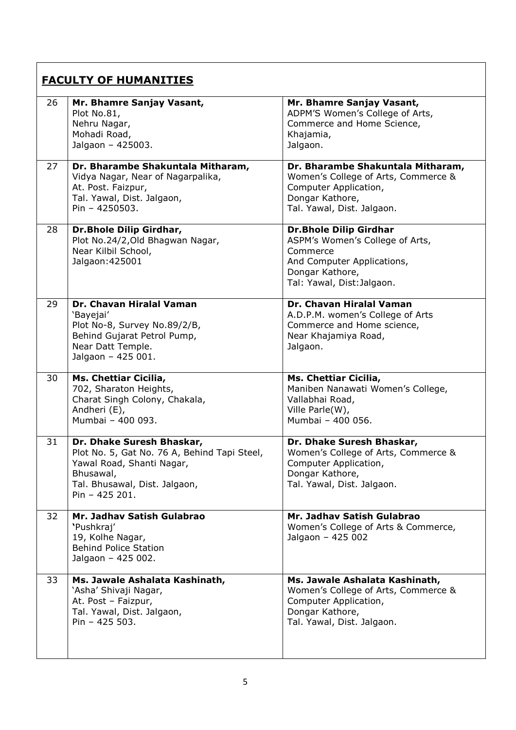|    | <b>FACULTY OF HUMANITIES</b>                                                                                                                                           |                                                                                                                                                            |  |
|----|------------------------------------------------------------------------------------------------------------------------------------------------------------------------|------------------------------------------------------------------------------------------------------------------------------------------------------------|--|
| 26 | Mr. Bhamre Sanjay Vasant,<br>Plot No.81,<br>Nehru Nagar,<br>Mohadi Road,<br>Jalgaon - 425003.                                                                          | Mr. Bhamre Sanjay Vasant,<br>ADPM'S Women's College of Arts,<br>Commerce and Home Science,<br>Khajamia,<br>Jalgaon.                                        |  |
| 27 | Dr. Bharambe Shakuntala Mitharam,<br>Vidya Nagar, Near of Nagarpalika,<br>At. Post. Faizpur,<br>Tal. Yawal, Dist. Jalgaon,<br>Pin $-4250503$ .                         | Dr. Bharambe Shakuntala Mitharam,<br>Women's College of Arts, Commerce &<br>Computer Application,<br>Dongar Kathore,<br>Tal. Yawal, Dist. Jalgaon.         |  |
| 28 | Dr.Bhole Dilip Girdhar,<br>Plot No.24/2, Old Bhagwan Nagar,<br>Near Kilbil School,<br>Jalgaon: 425001                                                                  | <b>Dr.Bhole Dilip Girdhar</b><br>ASPM's Women's College of Arts,<br>Commerce<br>And Computer Applications,<br>Dongar Kathore,<br>Tal: Yawal, Dist:Jalgaon. |  |
| 29 | Dr. Chavan Hiralal Vaman<br>'Bayejai'<br>Plot No-8, Survey No.89/2/B,<br>Behind Gujarat Petrol Pump,<br>Near Datt Temple.<br>Jalgaon - 425 001.                        | Dr. Chavan Hiralal Vaman<br>A.D.P.M. women's College of Arts<br>Commerce and Home science,<br>Near Khajamiya Road,<br>Jalgaon.                             |  |
| 30 | <b>Ms. Chettiar Cicilia,</b><br>702, Sharaton Heights,<br>Charat Singh Colony, Chakala,<br>Andheri (E),<br>Mumbai - 400 093.                                           | <b>Ms. Chettiar Cicilia,</b><br>Maniben Nanawati Women's College,<br>Vallabhai Road,<br>Ville Parle(W),<br>Mumbai - 400 056.                               |  |
| 31 | Dr. Dhake Suresh Bhaskar,<br>Plot No. 5, Gat No. 76 A, Behind Tapi Steel,<br>Yawal Road, Shanti Nagar,<br>Bhusawal,<br>Tal. Bhusawal, Dist. Jalgaon,<br>Pin - 425 201. | Dr. Dhake Suresh Bhaskar,<br>Women's College of Arts, Commerce &<br>Computer Application,<br>Dongar Kathore,<br>Tal. Yawal, Dist. Jalgaon.                 |  |
| 32 | Mr. Jadhav Satish Gulabrao<br>'Pushkraj'<br>19, Kolhe Nagar,<br><b>Behind Police Station</b><br>Jalgaon - 425 002.                                                     | Mr. Jadhav Satish Gulabrao<br>Women's College of Arts & Commerce,<br>Jalgaon - 425 002                                                                     |  |
| 33 | Ms. Jawale Ashalata Kashinath,<br>'Asha' Shivaji Nagar,<br>At. Post - Faizpur,<br>Tal. Yawal, Dist. Jalgaon,<br>Pin - 425 503.                                         | Ms. Jawale Ashalata Kashinath,<br>Women's College of Arts, Commerce &<br>Computer Application,<br>Dongar Kathore,<br>Tal. Yawal, Dist. Jalgaon.            |  |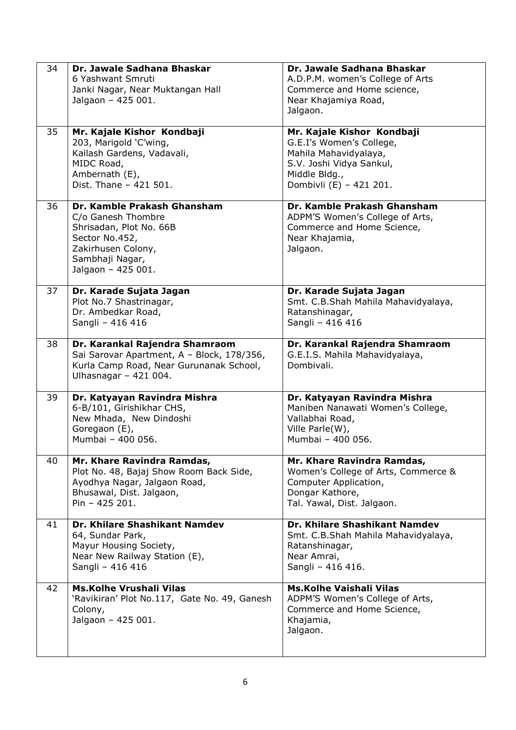| 34 | Dr. Jawale Sadhana Bhaskar<br>6 Yashwant Smruti<br>Janki Nagar, Near Muktangan Hall<br>Jalgaon - 425 001.                                                     | Dr. Jawale Sadhana Bhaskar<br>A.D.P.M. women's College of Arts<br>Commerce and Home science,<br>Near Khajamiya Road,<br>Jalgaon.                        |
|----|---------------------------------------------------------------------------------------------------------------------------------------------------------------|---------------------------------------------------------------------------------------------------------------------------------------------------------|
| 35 | Mr. Kajale Kishor Kondbaji<br>203, Marigold 'C'wing,<br>Kailash Gardens, Vadavali,<br>MIDC Road,<br>Ambernath (E),<br>Dist. Thane - 421 501.                  | Mr. Kajale Kishor Kondbaji<br>G.E.I's Women's College,<br>Mahila Mahavidyalaya,<br>S.V. Joshi Vidya Sankul,<br>Middle Bldg.,<br>Dombivli (E) - 421 201. |
| 36 | Dr. Kamble Prakash Ghansham<br>C/o Ganesh Thombre<br>Shrisadan, Plot No. 66B<br>Sector No.452,<br>Zakirhusen Colony,<br>Sambhaji Nagar,<br>Jalgaon - 425 001. | Dr. Kamble Prakash Ghansham<br>ADPM'S Women's College of Arts,<br>Commerce and Home Science,<br>Near Khajamia,<br>Jalgaon.                              |
| 37 | Dr. Karade Sujata Jagan<br>Plot No.7 Shastrinagar,<br>Dr. Ambedkar Road,<br>Sangli - 416 416                                                                  | Dr. Karade Sujata Jagan<br>Smt. C.B.Shah Mahila Mahavidyalaya,<br>Ratanshinagar,<br>Sangli - 416 416                                                    |
| 38 | Dr. Karankal Rajendra Shamraom<br>Sai Sarovar Apartment, A - Block, 178/356,<br>Kurla Camp Road, Near Gurunanak School,<br>Ulhasnagar - 421 004.              | Dr. Karankal Rajendra Shamraom<br>G.E.I.S. Mahila Mahavidyalaya,<br>Dombivali.                                                                          |
| 39 | Dr. Katyayan Ravindra Mishra<br>6-B/101, Girishikhar CHS,<br>New Mhada, New Dindoshi<br>Goregaon (E),<br>Mumbai - 400 056.                                    | Dr. Katyayan Ravindra Mishra<br>Maniben Nanawati Women's College,<br>Vallabhai Road,<br>Ville Parle(W),<br>Mumbai - 400 056.                            |
| 40 | Mr. Khare Ravindra Ramdas,<br>Plot No. 48, Bajaj Show Room Back Side,<br>Ayodhya Nagar, Jalgaon Road,<br>Bhusawal, Dist. Jalgaon,<br>Pin $-425$ 201.          | Mr. Khare Ravindra Ramdas,<br>Women's College of Arts, Commerce &<br>Computer Application,<br>Dongar Kathore,<br>Tal. Yawal, Dist. Jalgaon.             |
| 41 | Dr. Khilare Shashikant Namdev<br>64, Sundar Park,<br>Mayur Housing Society,<br>Near New Railway Station (E),<br>Sangli - 416 416                              | <b>Dr. Khilare Shashikant Namdev</b><br>Smt. C.B.Shah Mahila Mahavidyalaya,<br>Ratanshinagar,<br>Near Amrai,<br>Sangli - 416 416.                       |
| 42 | <b>Ms.Kolhe Vrushali Vilas</b><br>'Ravikiran' Plot No.117, Gate No. 49, Ganesh<br>Colony,<br>Jalgaon - 425 001.                                               | <b>Ms.Kolhe Vaishali Vilas</b><br>ADPM'S Women's College of Arts,<br>Commerce and Home Science,<br>Khajamia,<br>Jalgaon.                                |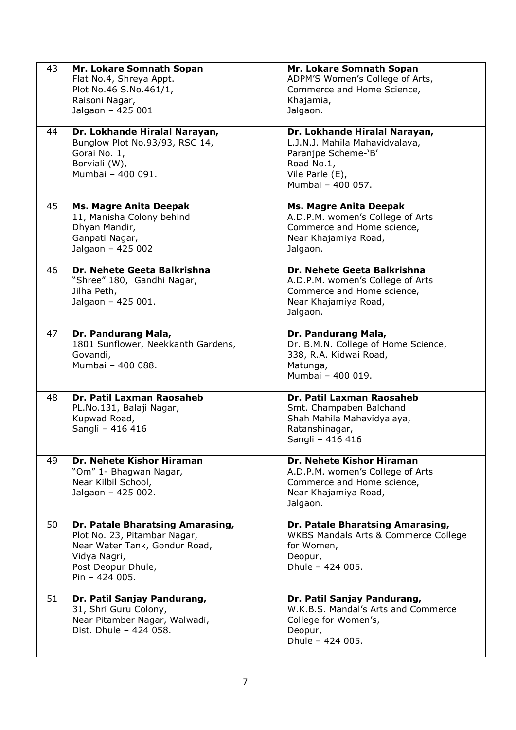| 43 | Mr. Lokare Somnath Sopan<br>Flat No.4, Shreya Appt.<br>Plot No.46 S.No.461/1,<br>Raisoni Nagar,<br>Jalgaon - 425 001                                       | Mr. Lokare Somnath Sopan<br>ADPM'S Women's College of Arts,<br>Commerce and Home Science,<br>Khajamia,<br>Jalgaon.                           |
|----|------------------------------------------------------------------------------------------------------------------------------------------------------------|----------------------------------------------------------------------------------------------------------------------------------------------|
| 44 | Dr. Lokhande Hiralal Narayan,<br>Bunglow Plot No.93/93, RSC 14,<br>Gorai No. 1,<br>Borviali (W),<br>Mumbai - 400 091.                                      | Dr. Lokhande Hiralal Narayan,<br>L.J.N.J. Mahila Mahavidyalaya,<br>Paranjpe Scheme-'B'<br>Road No.1,<br>Vile Parle (E),<br>Mumbai - 400 057. |
| 45 | <b>Ms. Magre Anita Deepak</b><br>11, Manisha Colony behind<br>Dhyan Mandir,<br>Ganpati Nagar,<br>Jalgaon - 425 002                                         | <b>Ms. Magre Anita Deepak</b><br>A.D.P.M. women's College of Arts<br>Commerce and Home science,<br>Near Khajamiya Road,<br>Jalgaon.          |
| 46 | Dr. Nehete Geeta Balkrishna<br>"Shree" 180, Gandhi Nagar,<br>Jilha Peth,<br>Jalgaon - 425 001.                                                             | Dr. Nehete Geeta Balkrishna<br>A.D.P.M. women's College of Arts<br>Commerce and Home science,<br>Near Khajamiya Road,<br>Jalgaon.            |
| 47 | Dr. Pandurang Mala,<br>1801 Sunflower, Neekkanth Gardens,<br>Govandi,<br>Mumbai - 400 088.                                                                 | Dr. Pandurang Mala,<br>Dr. B.M.N. College of Home Science,<br>338, R.A. Kidwai Road,<br>Matunga,<br>Mumbai - 400 019.                        |
| 48 | Dr. Patil Laxman Raosaheb<br>PL.No.131, Balaji Nagar,<br>Kupwad Road,<br>Sangli - 416 416                                                                  | Dr. Patil Laxman Raosaheb<br>Smt. Champaben Balchand<br>Shah Mahila Mahavidyalaya,<br>Ratanshinagar,<br>Sangli - 416 416                     |
| 49 | Dr. Nehete Kishor Hiraman<br>"Om" 1- Bhagwan Nagar,<br>Near Kilbil School,<br>Jalgaon - 425 002.                                                           | Dr. Nehete Kishor Hiraman<br>A.D.P.M. women's College of Arts<br>Commerce and Home science,<br>Near Khajamiya Road,<br>Jalgaon.              |
| 50 | Dr. Patale Bharatsing Amarasing,<br>Plot No. 23, Pitambar Nagar,<br>Near Water Tank, Gondur Road,<br>Vidya Nagri,<br>Post Deopur Dhule,<br>Pin $-424005$ . | Dr. Patale Bharatsing Amarasing,<br><b>WKBS Mandals Arts &amp; Commerce College</b><br>for Women,<br>Deopur,<br>Dhule - 424 005.             |
| 51 | Dr. Patil Sanjay Pandurang,<br>31, Shri Guru Colony,<br>Near Pitamber Nagar, Walwadi,<br>Dist. Dhule - 424 058.                                            | Dr. Patil Sanjay Pandurang,<br>W.K.B.S. Mandal's Arts and Commerce<br>College for Women's,<br>Deopur,<br>Dhule - 424 005.                    |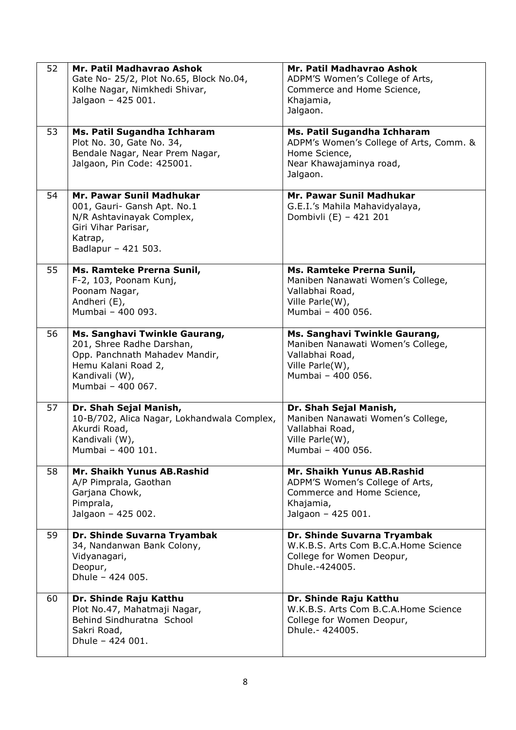| 52 | Mr. Patil Madhavrao Ashok<br>Gate No- 25/2, Plot No.65, Block No.04,<br>Kolhe Nagar, Nimkhedi Shivar,<br>Jalgaon - 425 001.                                | Mr. Patil Madhavrao Ashok<br>ADPM'S Women's College of Arts,<br>Commerce and Home Science,<br>Khajamia,<br>Jalgaon.             |
|----|------------------------------------------------------------------------------------------------------------------------------------------------------------|---------------------------------------------------------------------------------------------------------------------------------|
| 53 | Ms. Patil Sugandha Ichharam<br>Plot No. 30, Gate No. 34,<br>Bendale Nagar, Near Prem Nagar,<br>Jalgaon, Pin Code: 425001.                                  | Ms. Patil Sugandha Ichharam<br>ADPM's Women's College of Arts, Comm. &<br>Home Science,<br>Near Khawajaminya road,<br>Jalgaon.  |
| 54 | Mr. Pawar Sunil Madhukar<br>001, Gauri- Gansh Apt. No.1<br>N/R Ashtavinayak Complex,<br>Giri Vihar Parisar,<br>Katrap,<br>Badlapur - 421 503.              | Mr. Pawar Sunil Madhukar<br>G.E.I.'s Mahila Mahavidyalaya,<br>Dombivli (E) - 421 201                                            |
| 55 | Ms. Ramteke Prerna Sunil,<br>F-2, 103, Poonam Kunj,<br>Poonam Nagar,<br>Andheri (E),<br>Mumbai - 400 093.                                                  | Ms. Ramteke Prerna Sunil,<br>Maniben Nanawati Women's College,<br>Vallabhai Road,<br>Ville Parle(W),<br>Mumbai - 400 056.       |
| 56 | Ms. Sanghavi Twinkle Gaurang,<br>201, Shree Radhe Darshan,<br>Opp. Panchnath Mahadev Mandir,<br>Hemu Kalani Road 2,<br>Kandivali (W),<br>Mumbai - 400 067. | Ms. Sanghavi Twinkle Gaurang,<br>Maniben Nanawati Women's College,<br>Vallabhai Road,<br>Ville Parle(W),<br>Mumbai - 400 056.   |
| 57 | Dr. Shah Sejal Manish,<br>10-B/702, Alica Nagar, Lokhandwala Complex,<br>Akurdi Road,<br>Kandivali (W),<br>Mumbai - 400 101.                               | Dr. Shah Sejal Manish,<br>Maniben Nanawati Women's College,<br>Vallabhai Road,<br>Ville Parle(W),<br>Mumbai - 400 056.          |
| 58 | Mr. Shaikh Yunus AB Rashid<br>A/P Pimprala, Gaothan<br>Garjana Chowk,<br>Pimprala,<br>Jalgaon - 425 002.                                                   | Mr. Shaikh Yunus AB. Rashid<br>ADPM'S Women's College of Arts,<br>Commerce and Home Science,<br>Khajamia,<br>Jalgaon - 425 001. |
| 59 | Dr. Shinde Suvarna Tryambak<br>34, Nandanwan Bank Colony,<br>Vidyanagari,<br>Deopur,<br>Dhule - 424 005.                                                   | Dr. Shinde Suvarna Tryambak<br>W.K.B.S. Arts Com B.C.A.Home Science<br>College for Women Deopur,<br>Dhule.-424005.              |
| 60 | Dr. Shinde Raju Katthu<br>Plot No.47, Mahatmaji Nagar,<br>Behind Sindhuratna School<br>Sakri Road,<br>Dhule - 424 001.                                     | Dr. Shinde Raju Katthu<br>W.K.B.S. Arts Com B.C.A.Home Science<br>College for Women Deopur,<br>Dhule.- 424005.                  |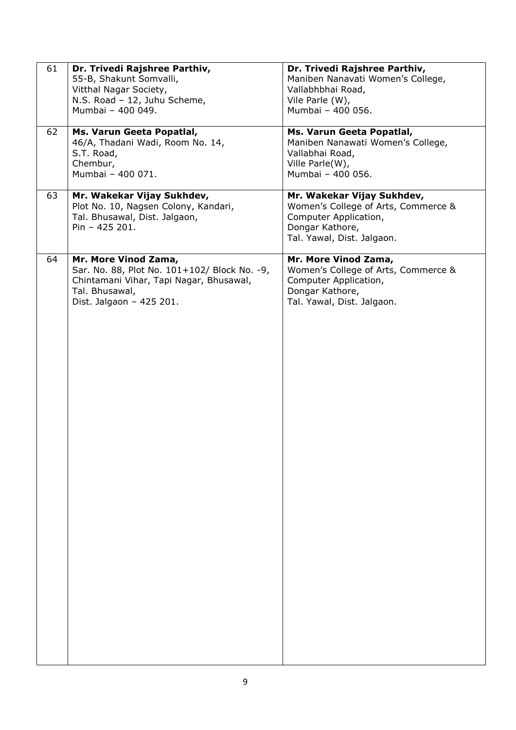| 61 | Dr. Trivedi Rajshree Parthiv,                     | Dr. Trivedi Rajshree Parthiv,                          |
|----|---------------------------------------------------|--------------------------------------------------------|
|    | 55-B, Shakunt Somvalli,<br>Vitthal Nagar Society, | Maniben Nanavati Women's College,<br>Vallabhbhai Road, |
|    | N.S. Road - 12, Juhu Scheme,                      | Vile Parle (W),                                        |
|    | Mumbai - 400 049.                                 | Mumbai - 400 056.                                      |
|    |                                                   |                                                        |
| 62 | Ms. Varun Geeta Popatlal,                         | Ms. Varun Geeta Popatlal,                              |
|    | 46/A, Thadani Wadi, Room No. 14,<br>S.T. Road,    | Maniben Nanawati Women's College,<br>Vallabhai Road,   |
|    | Chembur,                                          | Ville Parle(W),                                        |
|    | Mumbai - 400 071.                                 | Mumbai - 400 056.                                      |
|    |                                                   |                                                        |
| 63 | Mr. Wakekar Vijay Sukhdev,                        | Mr. Wakekar Vijay Sukhdev,                             |
|    | Plot No. 10, Nagsen Colony, Kandari,              | Women's College of Arts, Commerce &                    |
|    | Tal. Bhusawal, Dist. Jalgaon,                     | Computer Application,                                  |
|    | Pin - 425 201.                                    | Dongar Kathore,<br>Tal. Yawal, Dist. Jalgaon.          |
|    |                                                   |                                                        |
| 64 | Mr. More Vinod Zama,                              | Mr. More Vinod Zama,                                   |
|    | Sar. No. 88, Plot No. 101+102/ Block No. -9,      | Women's College of Arts, Commerce &                    |
|    | Chintamani Vihar, Tapi Nagar, Bhusawal,           | Computer Application,                                  |
|    | Tal. Bhusawal,                                    | Dongar Kathore,                                        |
|    | Dist. Jalgaon - 425 201.                          | Tal. Yawal, Dist. Jalgaon.                             |
|    |                                                   |                                                        |
|    |                                                   |                                                        |
|    |                                                   |                                                        |
|    |                                                   |                                                        |
|    |                                                   |                                                        |
|    |                                                   |                                                        |
|    |                                                   |                                                        |
|    |                                                   |                                                        |
|    |                                                   |                                                        |
|    |                                                   |                                                        |
|    |                                                   |                                                        |
|    |                                                   |                                                        |
|    |                                                   |                                                        |
|    |                                                   |                                                        |
|    |                                                   |                                                        |
|    |                                                   |                                                        |
|    |                                                   |                                                        |
|    |                                                   |                                                        |
|    |                                                   |                                                        |
|    |                                                   |                                                        |
|    |                                                   |                                                        |
|    |                                                   |                                                        |
|    |                                                   |                                                        |
|    |                                                   |                                                        |
|    |                                                   |                                                        |
|    |                                                   |                                                        |
|    |                                                   |                                                        |
|    |                                                   |                                                        |
|    |                                                   |                                                        |